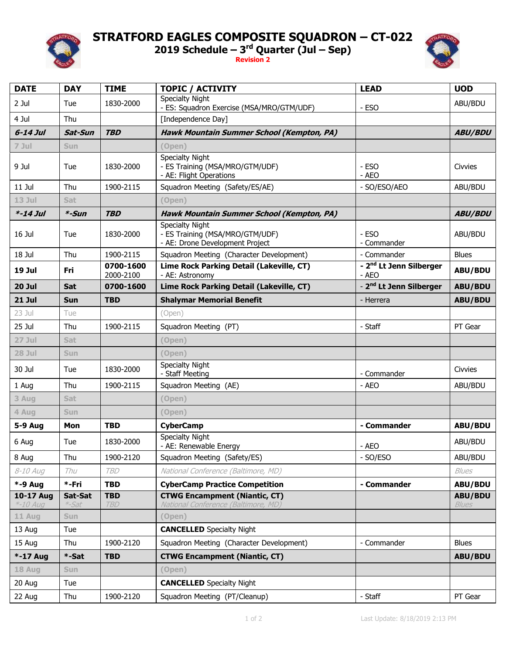

## **STRATFORD EAGLES COMPOSITE SQUADRON – CT-022**

**2019 Schedule – 3 rd Quarter (Jul – Sep)**

**Revision 2**



| <b>DATE</b>           | <b>DAY</b>       | <b>TIME</b>              | <b>TOPIC / ACTIVITY</b>                                                                      | <b>LEAD</b>                                  | <b>UOD</b>              |
|-----------------------|------------------|--------------------------|----------------------------------------------------------------------------------------------|----------------------------------------------|-------------------------|
| 2 Jul                 | Tue              | 1830-2000                | <b>Specialty Night</b><br>- ES: Squadron Exercise (MSA/MRO/GTM/UDF)                          | - ESO                                        | ABU/BDU                 |
| 4 Jul                 | Thu              |                          | [Independence Day]                                                                           |                                              |                         |
| $6-14$ Jul            | Sat-Sun          | <b>TBD</b>               | <b>Hawk Mountain Summer School (Kempton, PA)</b>                                             |                                              | <b>ABU/BDU</b>          |
| $7$ Jul               | <b>Sun</b>       |                          | (Open)                                                                                       |                                              |                         |
| 9 Jul                 | Tue              | 1830-2000                | <b>Specialty Night</b><br>- ES Training (MSA/MRO/GTM/UDF)<br>- AE: Flight Operations         | - ESO<br>- AEO                               | <b>Civvies</b>          |
| $11$ Jul              | Thu              | 1900-2115                | Squadron Meeting (Safety/ES/AE)                                                              | - SO/ESO/AEO                                 | ABU/BDU                 |
| $13$ Jul              | <b>Sat</b>       |                          | (Open)                                                                                       |                                              |                         |
| $* - 14$ Jul          | *-Sun            | <b>TBD</b>               | <b>Hawk Mountain Summer School (Kempton, PA)</b>                                             |                                              | <b>ABU/BDU</b>          |
| 16 Jul                | Tue              | 1830-2000                | <b>Specialty Night</b><br>- ES Training (MSA/MRO/GTM/UDF)<br>- AE: Drone Development Project | - ESO<br>- Commander                         | ABU/BDU                 |
| 18 Jul                | Thu              | 1900-2115                | Squadron Meeting (Character Development)                                                     | - Commander                                  | <b>Blues</b>            |
| 19 Jul                | Fri              | 0700-1600<br>2000-2100   | Lime Rock Parking Detail (Lakeville, CT)<br>- AE: Astronomy                                  | - 2 <sup>nd</sup> Lt Jenn Silberger<br>- AEO | <b>ABU/BDU</b>          |
| <b>20 Jul</b>         | Sat              | 0700-1600                | Lime Rock Parking Detail (Lakeville, CT)                                                     | - 2 <sup>nd</sup> Lt Jenn Silberger          | <b>ABU/BDU</b>          |
| <b>21 Jul</b>         | <b>Sun</b>       | <b>TBD</b>               | <b>Shalymar Memorial Benefit</b>                                                             | - Herrera                                    | <b>ABU/BDU</b>          |
| 23 Jul                | Tue              |                          | (Open)                                                                                       |                                              |                         |
| 25 Jul                | Thu              | 1900-2115                | Squadron Meeting (PT)                                                                        | - Staff                                      | PT Gear                 |
| 27 Jul                | Sat              |                          | (Open)                                                                                       |                                              |                         |
| 28 Jul                | Sun              |                          | (Open)                                                                                       |                                              |                         |
| 30 Jul                | Tue              | 1830-2000                | <b>Specialty Night</b><br>- Staff Meeting                                                    | - Commander                                  | Civvies                 |
| 1 Aug                 | Thu              | 1900-2115                | Squadron Meeting (AE)                                                                        | - AEO                                        | ABU/BDU                 |
| 3 Aug                 | <b>Sat</b>       |                          | (Open)                                                                                       |                                              |                         |
| 4 Aug                 | <b>Sun</b>       |                          | (Open)                                                                                       |                                              |                         |
| <b>5-9 Aug</b>        | Mon              | <b>TBD</b>               | <b>CyberCamp</b>                                                                             | - Commander                                  | <b>ABU/BDU</b>          |
| 6 Aug                 | Tue              | 1830-2000                | <b>Specialty Night</b><br>- AE: Renewable Energy                                             | - AEO                                        | ABU/BDU                 |
| 8 Aug                 | Thu              | 1900-2120                | Squadron Meeting (Safety/ES)                                                                 | - SO/ESO                                     | ABU/BDU                 |
| 8-10 Aug              | Thu              | <b>TBD</b>               | National Conference (Baltimore, MD)                                                          |                                              | Blues                   |
| <b>*-9 Aug</b>        | *-Fri            | <b>TBD</b>               | <b>CyberCamp Practice Competition</b>                                                        | - Commander                                  | <b>ABU/BDU</b>          |
| 10-17 Aug<br>*-10 Aug | Sat-Sat<br>*-Sat | <b>TBD</b><br><b>TBD</b> | <b>CTWG Encampment (Niantic, CT)</b><br>National Conference (Baltimore, MD)                  |                                              | ABU/BDU<br><b>Blues</b> |
| 11 Aug                | <b>Sun</b>       |                          | (Open)                                                                                       |                                              |                         |
| 13 Aug                | Tue              |                          | <b>CANCELLED</b> Specialty Night                                                             |                                              |                         |
| 15 Aug                | Thu              | 1900-2120                | Squadron Meeting (Character Development)                                                     | - Commander                                  | <b>Blues</b>            |
| $* - 17$ Aug          | *-Sat            | <b>TBD</b>               | <b>CTWG Encampment (Niantic, CT)</b>                                                         |                                              | <b>ABU/BDU</b>          |
| 18 Aug                | Sun              |                          | (Open)                                                                                       |                                              |                         |
| 20 Aug                | Tue              |                          | <b>CANCELLED</b> Specialty Night                                                             |                                              |                         |
| 22 Aug                | Thu              | 1900-2120                | Squadron Meeting (PT/Cleanup)                                                                | - Staff                                      | PT Gear                 |